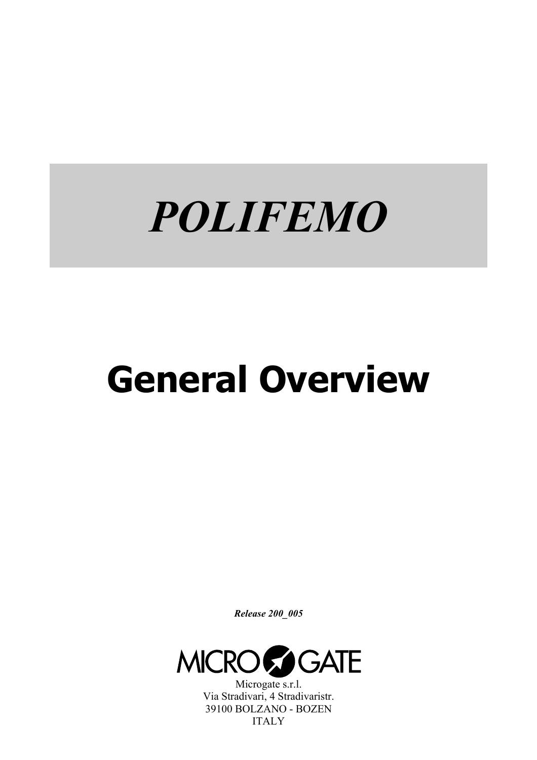# *POLIFEMO*

# **General Overview**

*Release 200\_005* 



Microgate s.r.l. Via Stradivari, 4 Stradivaristr. 39100 BOLZANO - BOZEN ITALY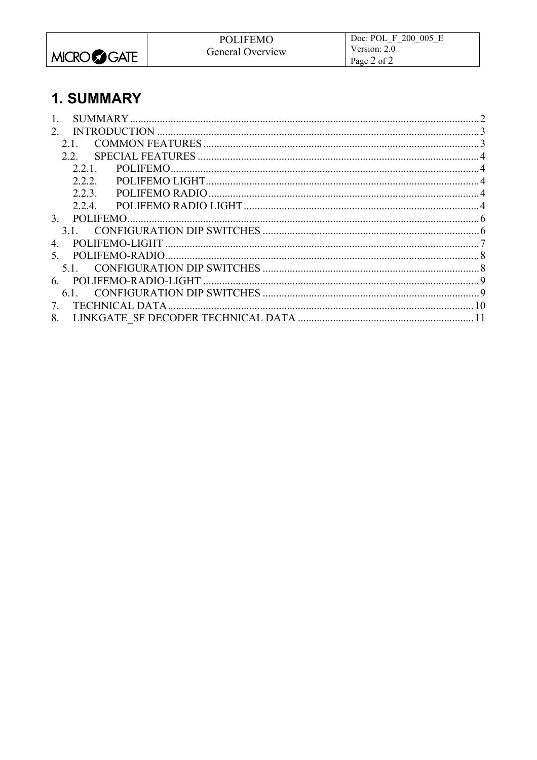|                   | <b>POLIFEMO</b>  | Doc: POL F 200 005 E |
|-------------------|------------------|----------------------|
|                   | General Overview | Version: 2.0         |
| <b>MICRO GATE</b> |                  | Page 2 of 2          |

# 1. SUMMARY

| 2              |  |
|----------------|--|
| 2.1            |  |
| 22             |  |
| 2.2.1          |  |
| 2.2.2          |  |
| 223            |  |
|                |  |
| $\mathcal{E}$  |  |
|                |  |
| $\overline{4}$ |  |
| 5 <sup>7</sup> |  |
|                |  |
|                |  |
|                |  |
| 7              |  |
| 8.             |  |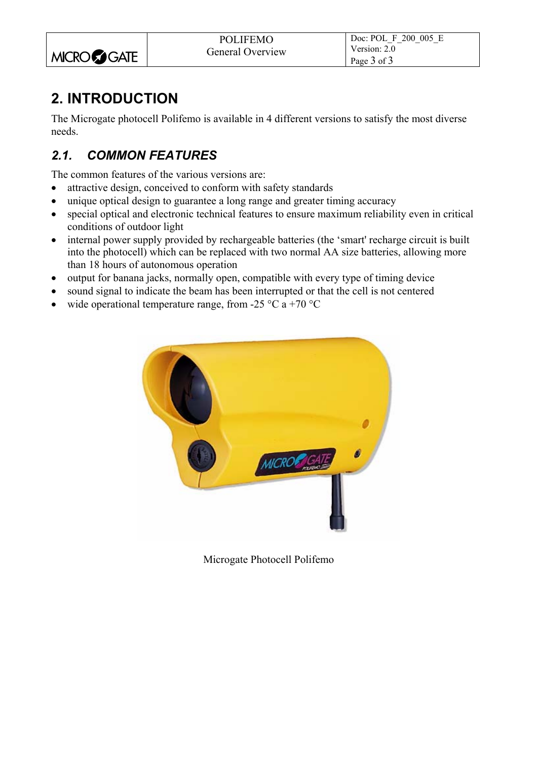|                   | <b>POLIFEMO</b>  | Doc: POL F 200 005 E |
|-------------------|------------------|----------------------|
|                   | General Overview | Version: $2.0$       |
| <b>MICRO GATE</b> |                  | Page 3 of 3          |

# **2. INTRODUCTION**

The Microgate photocell Polifemo is available in 4 different versions to satisfy the most diverse needs.

## *2.1. COMMON FEATURES*

The common features of the various versions are:

- attractive design, conceived to conform with safety standards
- unique optical design to guarantee a long range and greater timing accuracy
- special optical and electronic technical features to ensure maximum reliability even in critical conditions of outdoor light
- internal power supply provided by rechargeable batteries (the 'smart' recharge circuit is built into the photocell) which can be replaced with two normal AA size batteries, allowing more than 18 hours of autonomous operation
- output for banana jacks, normally open, compatible with every type of timing device
- sound signal to indicate the beam has been interrupted or that the cell is not centered
- wide operational temperature range, from -25  $\degree$ C a +70  $\degree$ C



Microgate Photocell Polifemo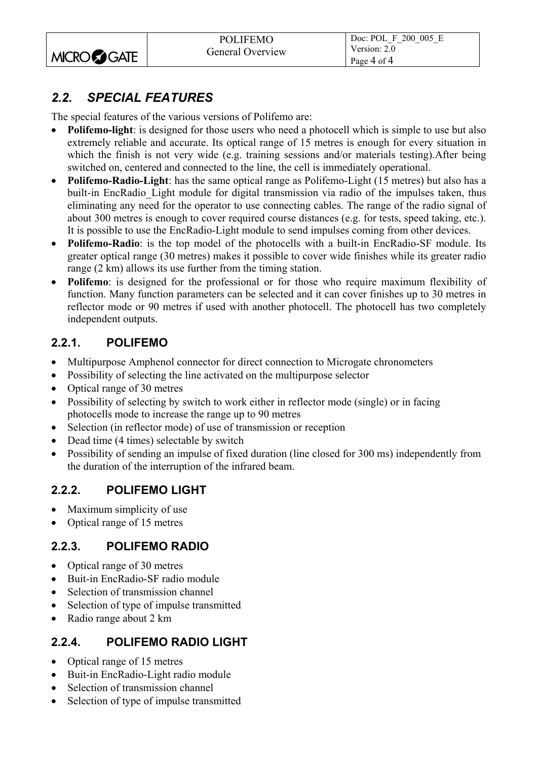|                   | <b>POLIFEMO</b>  | Doc: POL F 200 005 E        |
|-------------------|------------------|-----------------------------|
| <b>MICRO GATE</b> | General Overview | Version: 2.0<br>Page 4 of 4 |

### *2.2. SPECIAL FEATURES*

The special features of the various versions of Polifemo are:

- **Polifemo-light**: is designed for those users who need a photocell which is simple to use but also extremely reliable and accurate. Its optical range of 15 metres is enough for every situation in which the finish is not very wide (e.g. training sessions and/or materials testing).After being switched on, centered and connected to the line, the cell is immediately operational.
- **Polifemo-Radio-Light**: has the same optical range as Polifemo-Light (15 metres) but also has a built-in EncRadio Light module for digital transmission via radio of the impulses taken, thus eliminating any need for the operator to use connecting cables. The range of the radio signal of about 300 metres is enough to cover required course distances (e.g. for tests, speed taking, etc.). It is possible to use the EncRadio-Light module to send impulses coming from other devices.
- **Polifemo-Radio**: is the top model of the photocells with a built-in EncRadio-SF module. Its greater optical range (30 metres) makes it possible to cover wide finishes while its greater radio range (2 km) allows its use further from the timing station.
- **Polifemo**: is designed for the professional or for those who require maximum flexibility of function. Many function parameters can be selected and it can cover finishes up to 30 metres in reflector mode or 90 metres if used with another photocell. The photocell has two completely independent outputs.

#### **2.2.1. POLIFEMO**

- Multipurpose Amphenol connector for direct connection to Microgate chronometers
- Possibility of selecting the line activated on the multipurpose selector
- Optical range of 30 metres
- Possibility of selecting by switch to work either in reflector mode (single) or in facing photocells mode to increase the range up to 90 metres
- Selection (in reflector mode) of use of transmission or reception
- Dead time (4 times) selectable by switch
- Possibility of sending an impulse of fixed duration (line closed for 300 ms) independently from the duration of the interruption of the infrared beam.

#### **2.2.2. POLIFEMO LIGHT**

- Maximum simplicity of use
- Optical range of 15 metres

#### **2.2.3. POLIFEMO RADIO**

- Optical range of 30 metres
- Buit-in EncRadio-SF radio module
- Selection of transmission channel
- Selection of type of impulse transmitted
- Radio range about 2 km

#### **2.2.4. POLIFEMO RADIO LIGHT**

- Optical range of 15 metres
- Buit-in EncRadio-Light radio module
- Selection of transmission channel
- Selection of type of impulse transmitted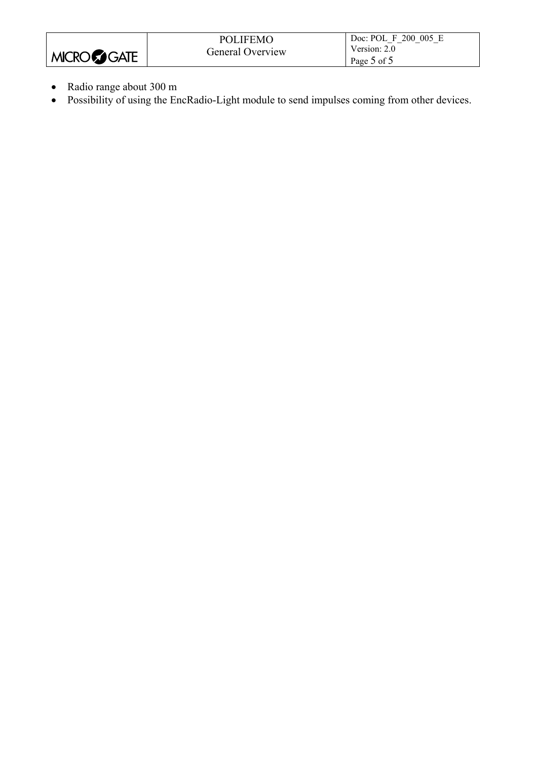|                      | <b>POLIFEMO</b>         | Doc: POL F 200 005 E |
|----------------------|-------------------------|----------------------|
|                      | <b>General Overview</b> | Version: 2.0         |
| MICRO <b>CO</b> GATE |                         | Page 5 of 5          |

- Radio range about 300 m
- Possibility of using the EncRadio-Light module to send impulses coming from other devices.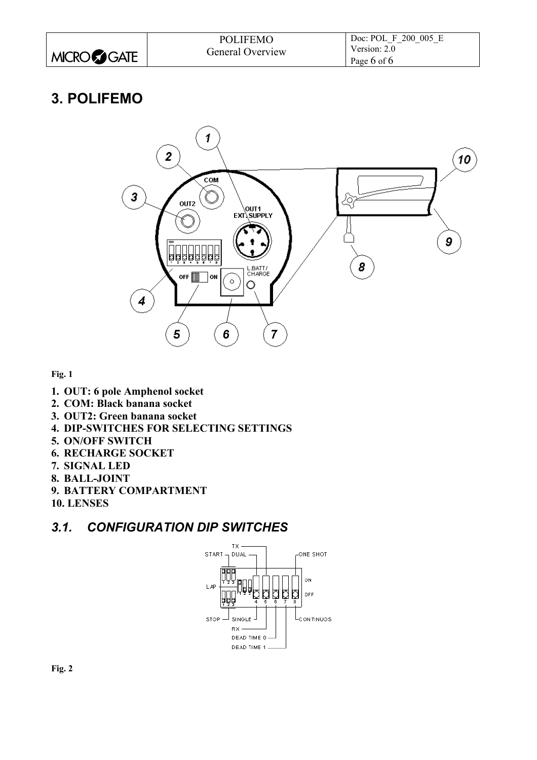|                      | <b>POLIFEMO</b>  | Doc: POL F 200 005 E |
|----------------------|------------------|----------------------|
|                      | General Overview | Version: 2.0         |
| MICRO <b>CO</b> GATE |                  | Page 6 of 6          |

## **3. POLIFEMO**



**Fig. 1** 

- **1. OUT: 6 pole Amphenol socket**
- **2. COM: Black banana socket**
- **3. OUT2: Green banana socket**
- **4. DIP-SWITCHES FOR SELECTING SETTINGS**
- **5. ON/OFF SWITCH**
- **6. RECHARGE SOCKET**
- **7. SIGNAL LED**
- **8. BALL-JOINT**
- **9. BATTERY COMPARTMENT**
- **10. LENSES**

#### *3.1. CONFIGURATION DIP SWITCHES*



**Fig. 2**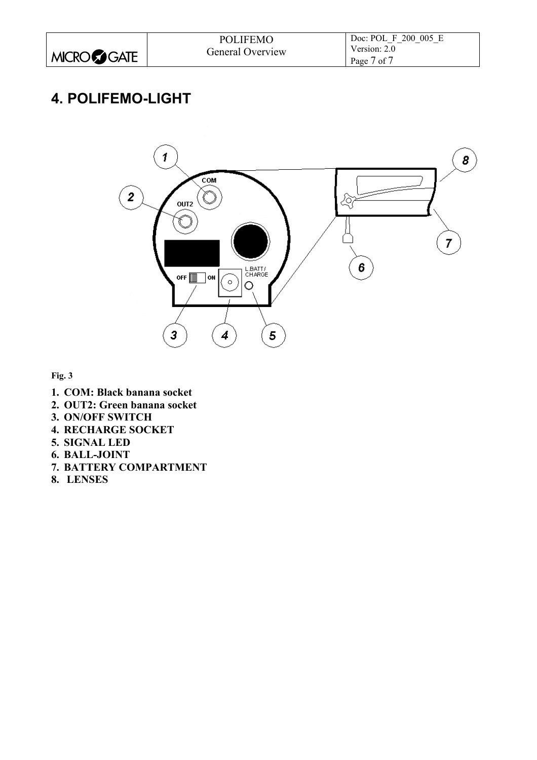|                      | <b>POLIFEMO</b>  | Doc: POL F 200 005 E |
|----------------------|------------------|----------------------|
|                      | General Overview | Version: 2.0         |
| MICRO <b>CO</b> GATE |                  | Page 7 of 7          |

## **4. POLIFEMO-LIGHT**



**Fig. 3** 

- **1. COM: Black banana socket**
- **2. OUT2: Green banana socket**
- **3. ON/OFF SWITCH**
- **4. RECHARGE SOCKET**
- **5. SIGNAL LED**
- **6. BALL-JOINT**
- **7. BATTERY COMPARTMENT**
- **8. LENSES**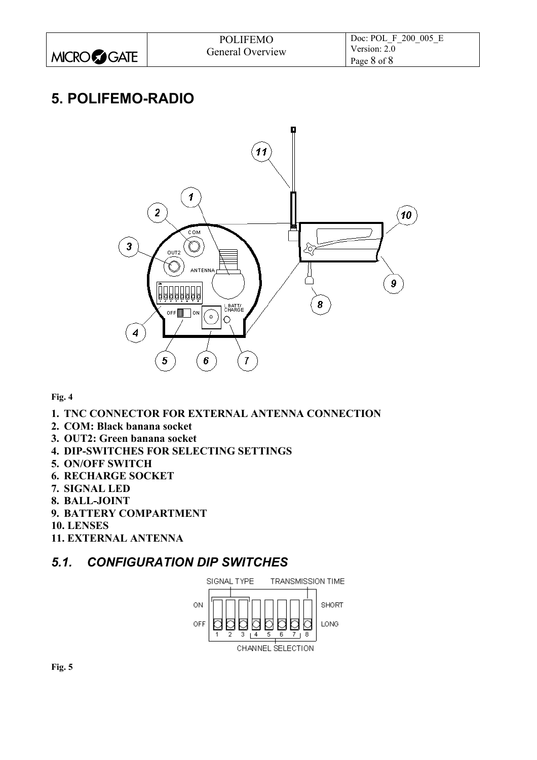|                    | <b>POLIFEMO</b>  | Doc: POL F 200 005 E |
|--------------------|------------------|----------------------|
|                    | General Overview | Version: $2.0$       |
| <b>MICROCOGATE</b> |                  | Page 8 of 8          |

## **5. POLIFEMO-RADIO**



#### **Fig. 4**

- **1. TNC CONNECTOR FOR EXTERNAL ANTENNA CONNECTION**
- **2. COM: Black banana socket**
- **3. OUT2: Green banana socket**
- **4. DIP-SWITCHES FOR SELECTING SETTINGS**
- **5. ON/OFF SWITCH**
- **6. RECHARGE SOCKET**
- **7. SIGNAL LED**
- **8. BALL-JOINT**
- **9. BATTERY COMPARTMENT**
- **10. LENSES**
- **11. EXTERNAL ANTENNA**

#### *5.1. CONFIGURATION DIP SWITCHES*

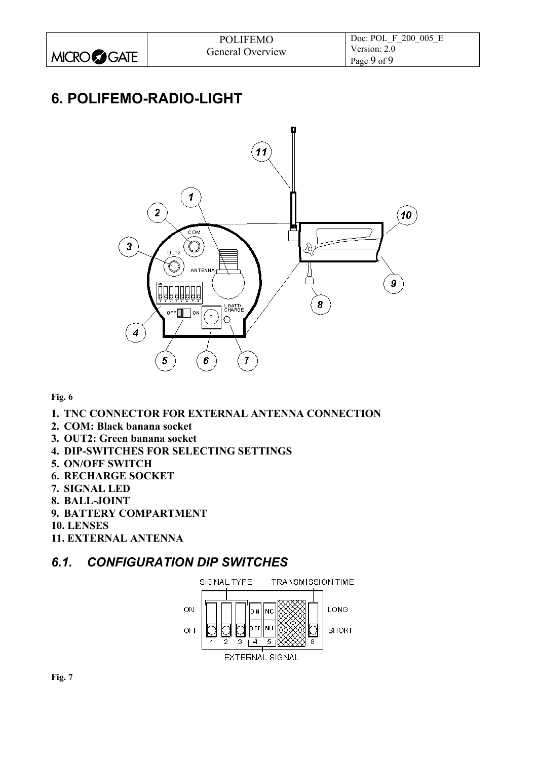|                   | <b>POLIFEMO</b>  | Doc: POL F 200 005 E |
|-------------------|------------------|----------------------|
|                   | General Overview | Version: 2.0         |
| <b>MICRO GATE</b> |                  | Page 9 of 9          |

# **6. POLIFEMO-RADIO-LIGHT**



#### **Fig. 6**

- **1. TNC CONNECTOR FOR EXTERNAL ANTENNA CONNECTION**
- **2. COM: Black banana socket**
- **3. OUT2: Green banana socket**
- **4. DIP-SWITCHES FOR SELECTING SETTINGS**
- **5. ON/OFF SWITCH**
- **6. RECHARGE SOCKET**
- **7. SIGNAL LED**
- **8. BALL-JOINT**
- **9. BATTERY COMPARTMENT**
- **10. LENSES**
- **11. EXTERNAL ANTENNA**

#### *6.1. CONFIGURATION DIP SWITCHES*

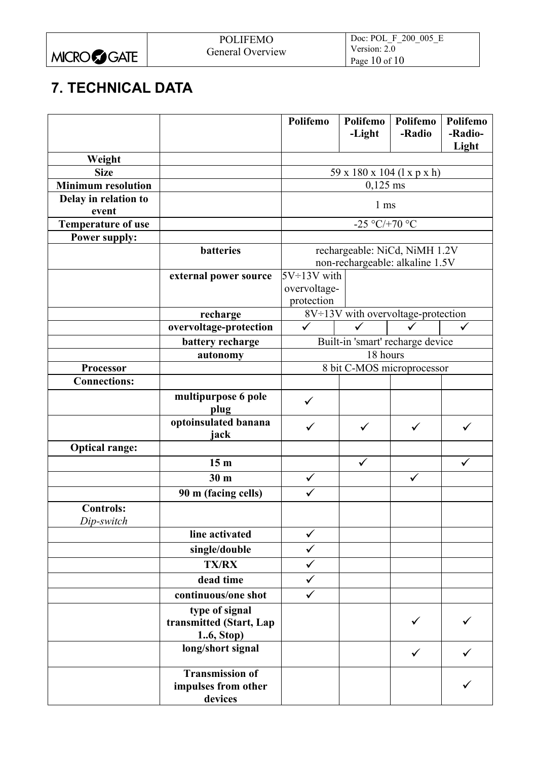|                    | <b>POLIFEMO</b>  | Doc: POL F 200 005 E |
|--------------------|------------------|----------------------|
|                    | General Overview | Version: 2.0         |
| <b>MICROCOGATE</b> |                  | Page 10 of 10        |

# **7. TECHNICAL DATA**

|                               |                                                          | Polifemo           | Polifemo<br>-Light | Polifemo<br>-Radio                                               | Polifemo<br>-Radio- |
|-------------------------------|----------------------------------------------------------|--------------------|--------------------|------------------------------------------------------------------|---------------------|
|                               |                                                          |                    |                    |                                                                  | Light               |
| Weight                        |                                                          |                    |                    |                                                                  |                     |
| <b>Size</b>                   |                                                          |                    |                    | 59 x 180 x 104 (1 x p x h)                                       |                     |
| <b>Minimum resolution</b>     |                                                          |                    | $0,125$ ms         |                                                                  |                     |
| Delay in relation to<br>event |                                                          |                    | 1 <sub>ms</sub>    |                                                                  |                     |
| <b>Temperature of use</b>     |                                                          |                    | -25 °C/+70 °C      |                                                                  |                     |
| <b>Power supply:</b>          |                                                          |                    |                    |                                                                  |                     |
|                               | batteries                                                |                    |                    | rechargeable: NiCd, NiMH 1.2V<br>non-rechargeable: alkaline 1.5V |                     |
|                               | external power source                                    | $5V \div 13V$ with |                    |                                                                  |                     |
|                               |                                                          | overvoltage-       |                    |                                                                  |                     |
|                               |                                                          | protection         |                    |                                                                  |                     |
|                               | recharge                                                 |                    |                    | 8V÷13V with overvoltage-protection                               |                     |
|                               | overvoltage-protection                                   |                    |                    |                                                                  |                     |
|                               | battery recharge                                         |                    |                    | Built-in 'smart' recharge device                                 |                     |
|                               | autonomy                                                 |                    | 18 hours           |                                                                  |                     |
| Processor                     |                                                          |                    |                    | 8 bit C-MOS microprocessor                                       |                     |
| <b>Connections:</b>           |                                                          |                    |                    |                                                                  |                     |
|                               | multipurpose 6 pole<br>plug                              | ✓                  |                    |                                                                  |                     |
|                               | optoinsulated banana<br>jack                             | $\checkmark$       | $\checkmark$       | ✓                                                                | $\checkmark$        |
| <b>Optical range:</b>         |                                                          |                    |                    |                                                                  |                     |
|                               | 15 <sub>m</sub>                                          |                    | $\checkmark$       |                                                                  | $\checkmark$        |
|                               | 30 <sub>m</sub>                                          | $\checkmark$       |                    | ✓                                                                |                     |
|                               | 90 m (facing cells)                                      | $\checkmark$       |                    |                                                                  |                     |
| <b>Controls:</b>              |                                                          |                    |                    |                                                                  |                     |
| Dip-switch                    |                                                          |                    |                    |                                                                  |                     |
|                               | line activated                                           | ✓                  |                    |                                                                  |                     |
|                               | single/double                                            | ✓                  |                    |                                                                  |                     |
|                               | <b>TX/RX</b>                                             | ✓                  |                    |                                                                  |                     |
|                               | dead time                                                | $\checkmark$       |                    |                                                                  |                     |
|                               | continuous/one shot                                      | $\checkmark$       |                    |                                                                  |                     |
|                               | type of signal<br>transmitted (Start, Lap<br>16, Stop)   |                    |                    | ✓                                                                |                     |
|                               | long/short signal                                        |                    |                    | $\checkmark$                                                     | ✓                   |
|                               | <b>Transmission of</b><br>impulses from other<br>devices |                    |                    |                                                                  |                     |